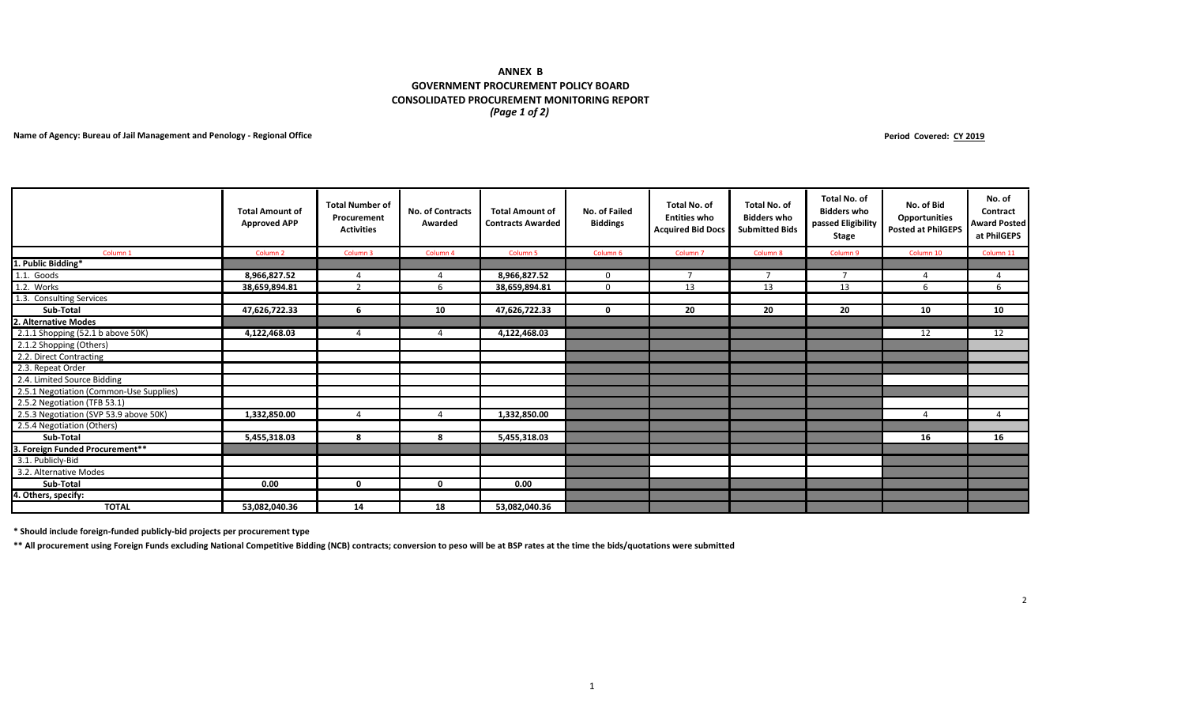## *(Page 1 of 2)* **ANNEX B GOVERNMENT PROCUREMENT POLICY BOARD CONSOLIDATED PROCUREMENT MONITORING REPORT**

## **Name of Agency: Bureau of Jail Management and Penology - Regional Office**

**Period Covered: CY 2019**

|                                         | <b>Total Amount of</b><br><b>Approved APP</b> | <b>Total Number of</b><br>Procurement<br><b>Activities</b> | <b>No. of Contracts</b><br>Awarded | <b>Total Amount of</b><br><b>Contracts Awarded</b> | No. of Failed<br><b>Biddings</b> | <b>Total No. of</b><br><b>Entities who</b><br><b>Acquired Bid Docs</b> | <b>Total No. of</b><br><b>Bidders who</b><br><b>Submitted Bids</b> | <b>Total No. of</b><br><b>Bidders who</b><br>passed Eligibility<br>Stage | No. of Bid<br><b>Opportunities</b><br><b>Posted at PhilGEPS</b> | No. of<br>Contract<br><b>Award Posted</b><br>at PhilGEPS |
|-----------------------------------------|-----------------------------------------------|------------------------------------------------------------|------------------------------------|----------------------------------------------------|----------------------------------|------------------------------------------------------------------------|--------------------------------------------------------------------|--------------------------------------------------------------------------|-----------------------------------------------------------------|----------------------------------------------------------|
| Column <sub>1</sub>                     | Column <sub>2</sub>                           | Column 3                                                   | Column 4                           | Column <sub>5</sub>                                | Column 6                         | Column <sub>7</sub>                                                    | Column 8                                                           | Column 9                                                                 | Column 10                                                       | Column 11                                                |
| 1. Public Bidding*                      |                                               |                                                            |                                    |                                                    |                                  |                                                                        |                                                                    |                                                                          |                                                                 |                                                          |
| 1.1. Goods                              | 8,966,827.52                                  | 4                                                          | $\overline{4}$                     | 8,966,827.52                                       | $\Omega$                         | $\overline{7}$                                                         | $\overline{7}$                                                     | $\overline{7}$                                                           |                                                                 | $\overline{4}$                                           |
| 1.2. Works                              | 38,659,894.81                                 | $\mathcal{D}$                                              | 6                                  | 38,659,894.81                                      | $\Omega$                         | 13                                                                     | 13                                                                 | 13                                                                       | 6                                                               | 6                                                        |
| 1.3. Consulting Services                |                                               |                                                            |                                    |                                                    |                                  |                                                                        |                                                                    |                                                                          |                                                                 |                                                          |
| Sub-Total                               | 47,626,722.33                                 | 6                                                          | 10                                 | 47,626,722.33                                      | $\mathbf{0}$                     | 20                                                                     | 20                                                                 | 20                                                                       | 10                                                              | 10                                                       |
| 2. Alternative Modes                    |                                               |                                                            |                                    |                                                    |                                  |                                                                        |                                                                    |                                                                          |                                                                 |                                                          |
| 2.1.1 Shopping (52.1 b above 50K)       | 4,122,468.03                                  | 4                                                          | 4                                  | 4,122,468.03                                       |                                  |                                                                        |                                                                    |                                                                          | 12                                                              | 12                                                       |
| 2.1.2 Shopping (Others)                 |                                               |                                                            |                                    |                                                    |                                  |                                                                        |                                                                    |                                                                          |                                                                 |                                                          |
| 2.2. Direct Contracting                 |                                               |                                                            |                                    |                                                    |                                  |                                                                        |                                                                    |                                                                          |                                                                 |                                                          |
| 2.3. Repeat Order                       |                                               |                                                            |                                    |                                                    |                                  |                                                                        |                                                                    |                                                                          |                                                                 |                                                          |
| 2.4. Limited Source Bidding             |                                               |                                                            |                                    |                                                    |                                  |                                                                        |                                                                    |                                                                          |                                                                 |                                                          |
| 2.5.1 Negotiation (Common-Use Supplies) |                                               |                                                            |                                    |                                                    |                                  |                                                                        |                                                                    |                                                                          |                                                                 |                                                          |
| 2.5.2 Negotiation (TFB 53.1)            |                                               |                                                            |                                    |                                                    |                                  |                                                                        |                                                                    |                                                                          |                                                                 |                                                          |
| 2.5.3 Negotiation (SVP 53.9 above 50K)  | 1,332,850.00                                  | $\overline{a}$                                             | $\overline{4}$                     | 1,332,850.00                                       |                                  |                                                                        |                                                                    |                                                                          |                                                                 | $\overline{4}$                                           |
| 2.5.4 Negotiation (Others)              |                                               |                                                            |                                    |                                                    |                                  |                                                                        |                                                                    |                                                                          |                                                                 |                                                          |
| Sub-Total                               | 5,455,318.03                                  | 8                                                          | 8                                  | 5,455,318.03                                       |                                  |                                                                        |                                                                    |                                                                          | 16                                                              | 16                                                       |
| 3. Foreign Funded Procurement**         |                                               |                                                            |                                    |                                                    |                                  |                                                                        |                                                                    |                                                                          |                                                                 |                                                          |
| 3.1. Publicly-Bid                       |                                               |                                                            |                                    |                                                    |                                  |                                                                        |                                                                    |                                                                          |                                                                 |                                                          |
| 3.2. Alternative Modes                  |                                               |                                                            |                                    |                                                    |                                  |                                                                        |                                                                    |                                                                          |                                                                 |                                                          |
| Sub-Total                               | 0.00                                          | $\mathbf 0$                                                | $\mathbf 0$                        | 0.00                                               |                                  |                                                                        |                                                                    |                                                                          |                                                                 |                                                          |
| 4. Others, specify:                     |                                               |                                                            |                                    |                                                    |                                  |                                                                        |                                                                    |                                                                          |                                                                 |                                                          |
| <b>TOTAL</b>                            | 53,082,040.36                                 | 14                                                         | 18                                 | 53,082,040.36                                      |                                  |                                                                        |                                                                    |                                                                          |                                                                 |                                                          |

**\* Should include foreign-funded publicly-bid projects per procurement type** 

**\*\* All procurement using Foreign Funds excluding National Competitive Bidding (NCB) contracts; conversion to peso will be at BSP rates at the time the bids/quotations were submitted**

2